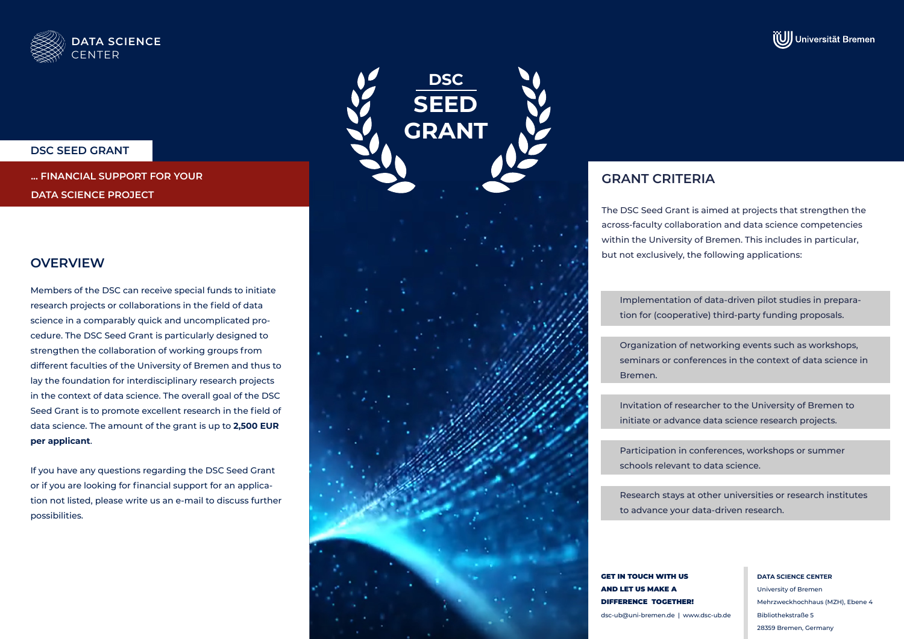



### **DSC SEED GRANT**

**... FINANCIAL SUPPORT FOR YOUR DATA SCIENCE PROJECT**

# **OVERVIEW**

Members of the DSC can receive special funds to initiate research projects or collaborations in the field of data science in a comparably quick and uncomplicated procedure. The DSC Seed Grant is particularly designed to strengthen the collaboration of working groups from different faculties of the University of Bremen and thus to lay the foundation for interdisciplinary research projects in the context of data science. The overall goal of the DSC Seed Grant is to promote excellent research in the field of data science. The amount of the grant is up to **2,500 EUR per applicant**.

If you have any questions regarding the DSC Seed Grant or if you are looking for financial support for an application not listed, please write us an e-mail to discuss further possibilities.



# **GRANT CRITERIA**

The DSC Seed Grant is aimed at projects that strengthen the across-faculty collaboration and data science competencies within the University of Bremen. This includes in particular, but not exclusively, the following applications:

Implementation of data-driven pilot studies in preparation for (cooperative) third-party funding proposals.

Organization of networking events such as workshops, seminars or conferences in the context of data science in Bremen.

Invitation of researcher to the University of Bremen to initiate or advance data science research projects.

Participation in conferences, workshops or summer schools relevant to data science.

Research stays at other universities or research institutes to advance your data-driven research.

GET IN TOUCH WITH US AND LET US MAKE A DIFFERENCE TOGETHER! dsc-ub@uni-bremen.de | www.dsc-ub.de **DATA SCIENCE CENTER** University of Bremen Mehrzweckhochhaus (MZH), Ebene 4 Bibliothekstraße 5 28359 Bremen, Germany